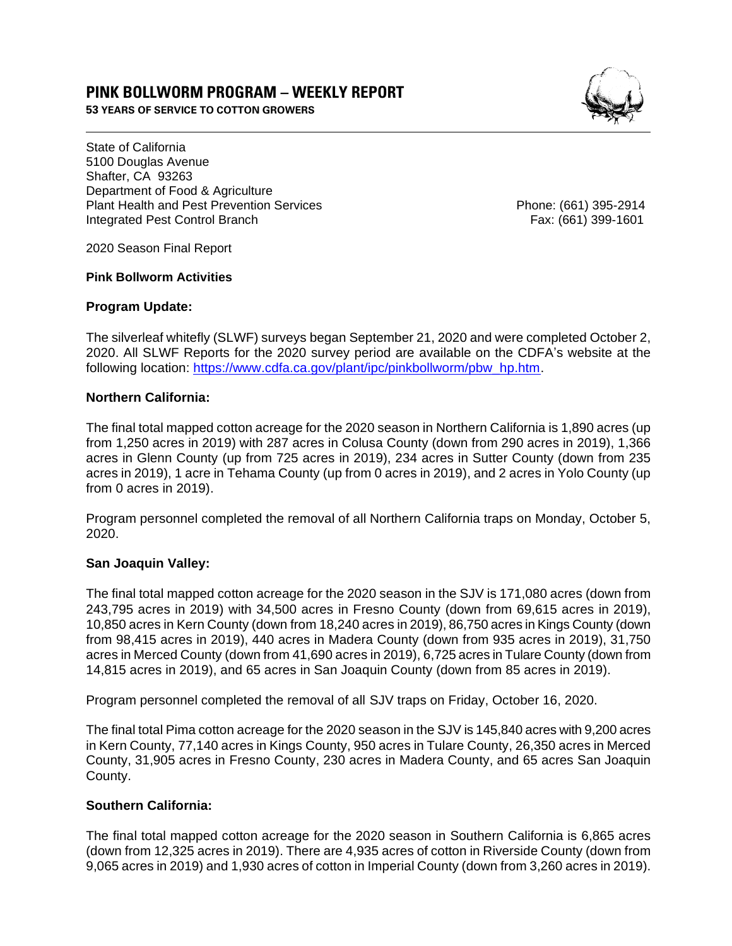# **PINK BOLLWORM PROGRAM – WEEKLY REPORT**

**53 YEARS OF SERVICE TO COTTON GROWERS** 



State of California 5100 Douglas Avenue Shafter, CA 93263 Department of Food & Agriculture Plant Health and Pest Prevention Services Phone: (661) 395-2914 Integrated Pest Control Branch Fax: (661) 399-1601

2020 Season Final Report

### **Pink Bollworm Activities**

## **Program Update:**

The silverleaf whitefly (SLWF) surveys began September 21, 2020 and were completed October 2, 2020. All SLWF Reports for the 2020 survey period are available on the CDFA's website at the following location: [https://www.cdfa.ca.gov/plant/ipc/pinkbollworm/pbw\\_hp.htm.](https://www.cdfa.ca.gov/plant/ipc/pinkbollworm/pbw_hp.htm)

## **Northern California:**

The final total mapped cotton acreage for the 2020 season in Northern California is 1,890 acres (up from 1,250 acres in 2019) with 287 acres in Colusa County (down from 290 acres in 2019), 1,366 acres in Glenn County (up from 725 acres in 2019), 234 acres in Sutter County (down from 235 acres in 2019), 1 acre in Tehama County (up from 0 acres in 2019), and 2 acres in Yolo County (up from 0 acres in 2019).

Program personnel completed the removal of all Northern California traps on Monday, October 5, 2020.

## **San Joaquin Valley:**

The final total mapped cotton acreage for the 2020 season in the SJV is 171,080 acres (down from 243,795 acres in 2019) with 34,500 acres in Fresno County (down from 69,615 acres in 2019), 10,850 acres in Kern County (down from 18,240 acres in 2019), 86,750 acres in Kings County (down from 98,415 acres in 2019), 440 acres in Madera County (down from 935 acres in 2019), 31,750 acres in Merced County (down from 41,690 acres in 2019), 6,725 acres in Tulare County (down from 14,815 acres in 2019), and 65 acres in San Joaquin County (down from 85 acres in 2019).

Program personnel completed the removal of all SJV traps on Friday, October 16, 2020.

The final total Pima cotton acreage for the 2020 season in the SJV is 145,840 acres with 9,200 acres in Kern County, 77,140 acres in Kings County, 950 acres in Tulare County, 26,350 acres in Merced County, 31,905 acres in Fresno County, 230 acres in Madera County, and 65 acres San Joaquin County.

## **Southern California:**

The final total mapped cotton acreage for the 2020 season in Southern California is 6,865 acres (down from 12,325 acres in 2019). There are 4,935 acres of cotton in Riverside County (down from 9,065 acres in 2019) and 1,930 acres of cotton in Imperial County (down from 3,260 acres in 2019).